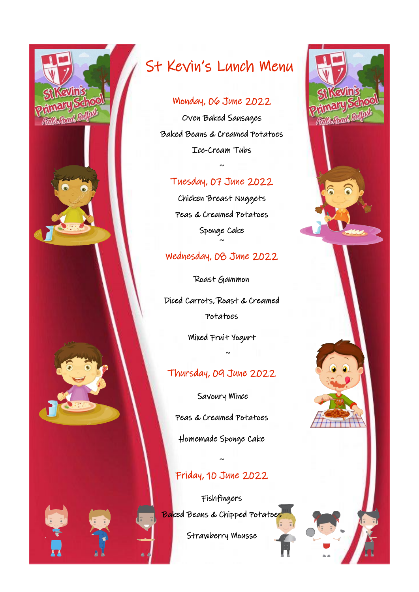

# St Kevin's Lunch Menu

#### Monday, 06 June 2022

Oven Baked Sausages Baked Beans & Creamed Potatoes Ice-Cream Tubs

## Tuesday, 07 June 2022

 $\sim$ 

Chicken Breast Nuggets Peas & Creamed Potatoes Sponge Cake ~

### Wednesday, 08 June 2022

Roast Gammon Diced Carrots, Roast & Creamed Potatoes

Mixed Fruit Yogurt

— ~

### Thursday, 09 June 2022

 Savoury Mince Peas & Creamed Potatoes

Homemade Sponge Cake

# Friday, 10 June 2022

~

Fishfingers Ba<mark>ked Beans & Chipped Potatoe</mark>

Strawberry Mousse

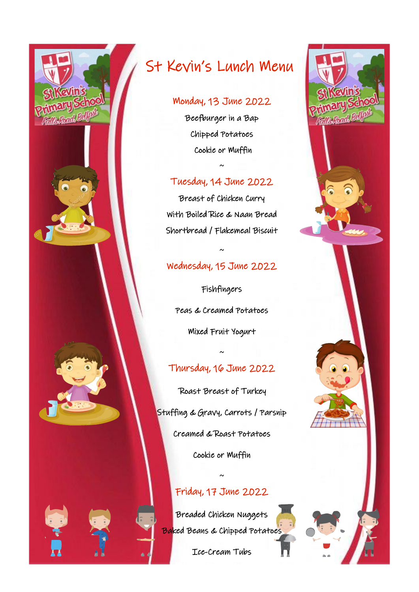

# St Kevin's Lunch Menu

#### Monday, 13 June 2022

Beefburger in a Bap Chipped Potatoes Cookie or Muffin

### Tuesday, 14 June 2022

~

Breast of Chicken Curry With Boiled Rice & Naan Bread Shortbread / Flakemeal Biscuit

## Wednesday, 15 June 2022

~

Fishfingers Peas & Creamed Potatoes Mixed Fruit Yogurt

## Thursday, 16 June 2022

~

 Roast Breast of Turkey Stuffing & Gravy, Carrots / Parsnip Creamed & Roast Potatoes Cookie or Muffin

# Friday, 17 June 2022

~

Breaded Chicken Nuggets Baked Beans & Chipped Potatoes

Ice-Cream Tubs

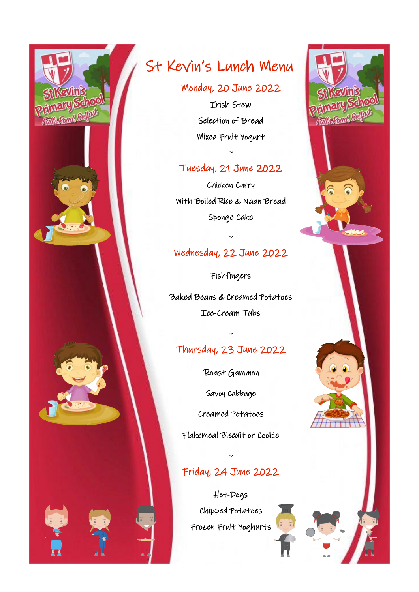

# St Kevin's Lunch Menu

Monday, 20 June 2022 Irish Stew Selection of Bread Mixed Fruit Yogurt

### Tuesday, 21 June 2022

~

Chicken Curry With Boiled Rice & Naan Bread Sponge Cake

# Wednesday, 22 June 2022

~

Fishfingers Baked Beans & Creamed Potatoes Ice-Cream Tubs

# Thursday, 23 June 2022

~

Roast Gammon

Savoy Cabbage

Creamed Potatoes

Flakemeal Biscuit or Cookie

~

# Friday, 24 June 2022

Hot-Dogs Chipped Potatoes Frozen Fruit Yoghurts